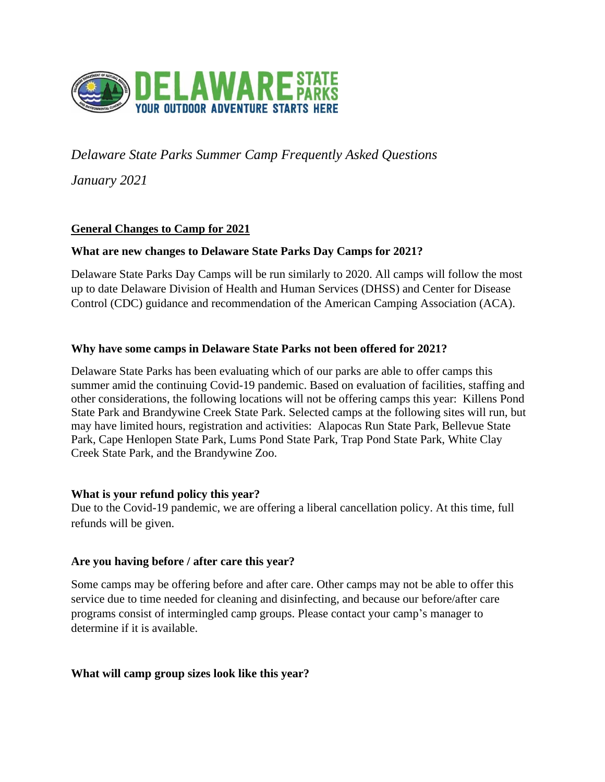

# *Delaware State Parks Summer Camp Frequently Asked Questions*

*January 2021*

### **General Changes to Camp for 2021**

#### **What are new changes to Delaware State Parks Day Camps for 2021?**

Delaware State Parks Day Camps will be run similarly to 2020. All camps will follow the most up to date Delaware Division of Health and Human Services (DHSS) and Center for Disease Control (CDC) guidance and recommendation of the American Camping Association (ACA).

#### **Why have some camps in Delaware State Parks not been offered for 2021?**

Delaware State Parks has been evaluating which of our parks are able to offer camps this summer amid the continuing Covid-19 pandemic. Based on evaluation of facilities, staffing and other considerations, the following locations will not be offering camps this year: Killens Pond State Park and Brandywine Creek State Park. Selected camps at the following sites will run, but may have limited hours, registration and activities: Alapocas Run State Park, Bellevue State Park, Cape Henlopen State Park, Lums Pond State Park, Trap Pond State Park, White Clay Creek State Park, and the Brandywine Zoo.

#### **What is your refund policy this year?**

Due to the Covid-19 pandemic, we are offering a liberal cancellation policy. At this time, full refunds will be given.

#### **Are you having before / after care this year?**

Some camps may be offering before and after care. Other camps may not be able to offer this service due to time needed for cleaning and disinfecting, and because our before/after care programs consist of intermingled camp groups. Please contact your camp's manager to determine if it is available.

#### **What will camp group sizes look like this year?**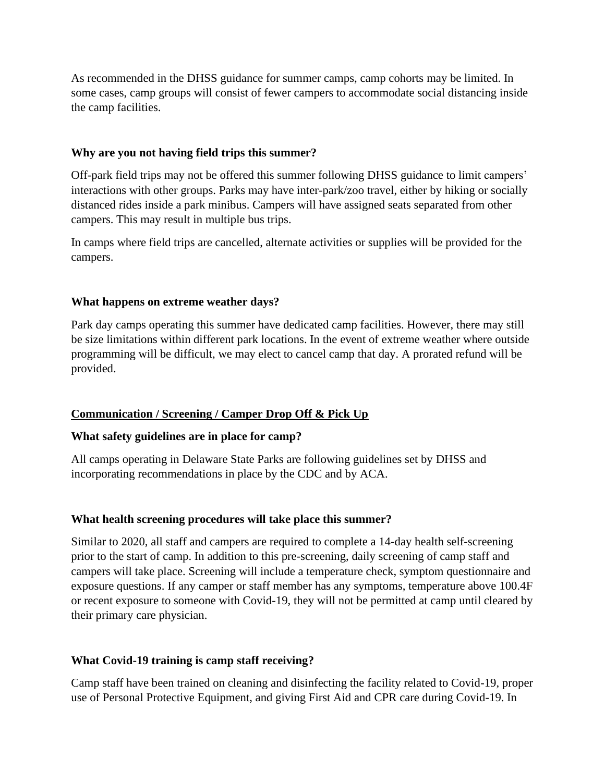As recommended in the DHSS guidance for summer camps, camp cohorts may be limited. In some cases, camp groups will consist of fewer campers to accommodate social distancing inside the camp facilities.

#### **Why are you not having field trips this summer?**

Off-park field trips may not be offered this summer following DHSS guidance to limit campers' interactions with other groups. Parks may have inter-park/zoo travel, either by hiking or socially distanced rides inside a park minibus. Campers will have assigned seats separated from other campers. This may result in multiple bus trips.

In camps where field trips are cancelled, alternate activities or supplies will be provided for the campers.

#### **What happens on extreme weather days?**

Park day camps operating this summer have dedicated camp facilities. However, there may still be size limitations within different park locations. In the event of extreme weather where outside programming will be difficult, we may elect to cancel camp that day. A prorated refund will be provided.

### **Communication / Screening / Camper Drop Off & Pick Up**

### **What safety guidelines are in place for camp?**

All camps operating in Delaware State Parks are following guidelines set by DHSS and incorporating recommendations in place by the CDC and by ACA.

### **What health screening procedures will take place this summer?**

Similar to 2020, all staff and campers are required to complete a 14-day health self-screening prior to the start of camp. In addition to this pre-screening, daily screening of camp staff and campers will take place. Screening will include a temperature check, symptom questionnaire and exposure questions. If any camper or staff member has any symptoms, temperature above 100.4F or recent exposure to someone with Covid-19, they will not be permitted at camp until cleared by their primary care physician.

### **What Covid-19 training is camp staff receiving?**

Camp staff have been trained on cleaning and disinfecting the facility related to Covid-19, proper use of Personal Protective Equipment, and giving First Aid and CPR care during Covid-19. In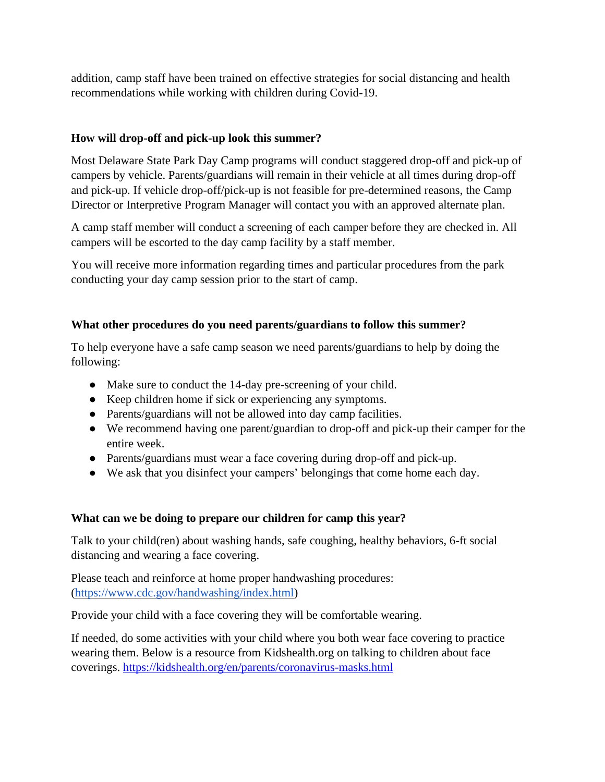addition, camp staff have been trained on effective strategies for social distancing and health recommendations while working with children during Covid-19.

### **How will drop-off and pick-up look this summer?**

Most Delaware State Park Day Camp programs will conduct staggered drop-off and pick-up of campers by vehicle. Parents/guardians will remain in their vehicle at all times during drop-off and pick-up. If vehicle drop-off/pick-up is not feasible for pre-determined reasons, the Camp Director or Interpretive Program Manager will contact you with an approved alternate plan.

A camp staff member will conduct a screening of each camper before they are checked in. All campers will be escorted to the day camp facility by a staff member.

You will receive more information regarding times and particular procedures from the park conducting your day camp session prior to the start of camp.

### **What other procedures do you need parents/guardians to follow this summer?**

To help everyone have a safe camp season we need parents/guardians to help by doing the following:

- Make sure to conduct the 14-day pre-screening of your child.
- Keep children home if sick or experiencing any symptoms.
- Parents/guardians will not be allowed into day camp facilities.
- We recommend having one parent/guardian to drop-off and pick-up their camper for the entire week.
- Parents/guardians must wear a face covering during drop-off and pick-up.
- We ask that you disinfect your campers' belongings that come home each day.

### **What can we be doing to prepare our children for camp this year?**

Talk to your child(ren) about washing hands, safe coughing, healthy behaviors, 6-ft social distancing and wearing a face covering.

Please teach and reinforce at home proper handwashing procedures: [\(https://www.cdc.gov/handwashing/index.html\)](https://www.cdc.gov/handwashing/index.html)

Provide your child with a face covering they will be comfortable wearing.

If needed, do some activities with your child where you both wear face covering to practice wearing them. Below is a resource from Kidshealth.org on talking to children about face coverings. <https://kidshealth.org/en/parents/coronavirus-masks.html>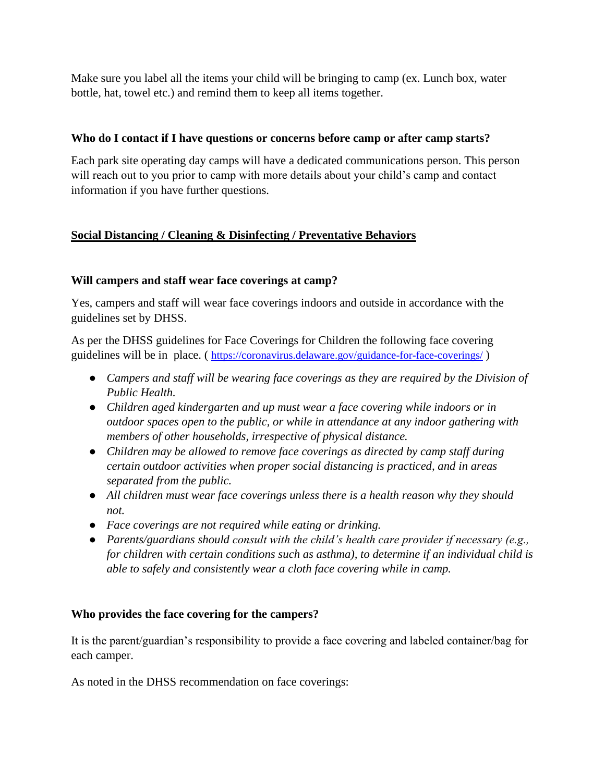Make sure you label all the items your child will be bringing to camp (ex. Lunch box, water bottle, hat, towel etc.) and remind them to keep all items together.

### **Who do I contact if I have questions or concerns before camp or after camp starts?**

Each park site operating day camps will have a dedicated communications person. This person will reach out to you prior to camp with more details about your child's camp and contact information if you have further questions.

# **Social Distancing / Cleaning & Disinfecting / Preventative Behaviors**

## **Will campers and staff wear face coverings at camp?**

Yes, campers and staff will wear face coverings indoors and outside in accordance with the guidelines set by DHSS.

As per the DHSS guidelines for Face Coverings for Children the following face covering guidelines will be in place. (<https://coronavirus.delaware.gov/guidance-for-face-coverings/>)

- *Campers and staff will be wearing face coverings as they are required by the Division of Public Health.*
- *Children aged kindergarten and up must wear a face covering while indoors or in outdoor spaces open to the public, or while in attendance at any indoor gathering with members of other households, irrespective of physical distance.*
- *Children may be allowed to remove face coverings as directed by camp staff during certain outdoor activities when proper social distancing is practiced, and in areas separated from the public.*
- *All children must wear face coverings unless there is a health reason why they should not.*
- *Face coverings are not required while eating or drinking.*
- *Parents/guardians should consult with the child's health care provider if necessary (e.g., for children with certain conditions such as asthma), to determine if an individual child is able to safely and consistently wear a cloth face covering while in camp.*

### **Who provides the face covering for the campers?**

It is the parent/guardian's responsibility to provide a face covering and labeled container/bag for each camper.

As noted in the DHSS recommendation on face coverings: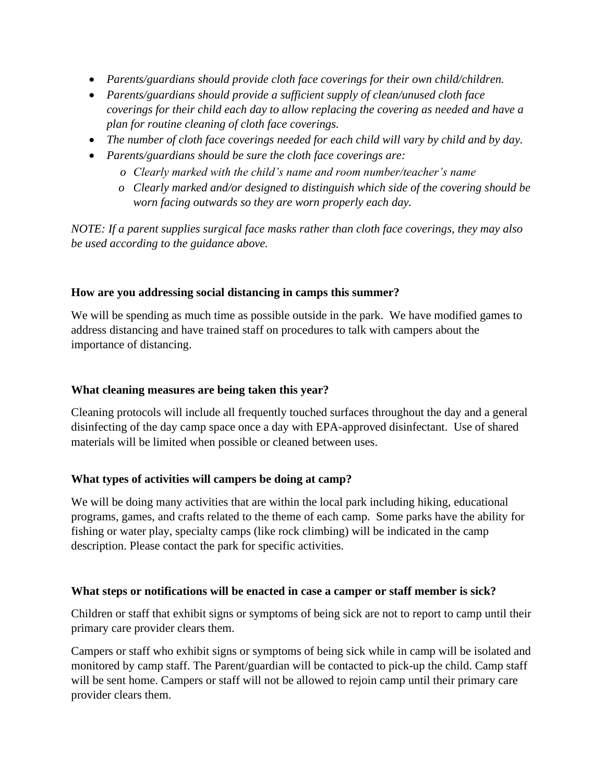- *Parents/guardians should provide cloth face coverings for their own child/children.*
- *Parents/guardians should provide a sufficient supply of clean/unused cloth face coverings for their child each day to allow replacing the covering as needed and have a plan for routine cleaning of cloth face coverings.*
- *The number of cloth face coverings needed for each child will vary by child and by day.*
- *Parents/guardians should be sure the cloth face coverings are:* 
	- *o Clearly marked with the child's name and room number/teacher's name*
	- *o Clearly marked and/or designed to distinguish which side of the covering should be worn facing outwards so they are worn properly each day.*

*NOTE: If a parent supplies surgical face masks rather than cloth face coverings, they may also be used according to the guidance above.*

### **How are you addressing social distancing in camps this summer?**

We will be spending as much time as possible outside in the park. We have modified games to address distancing and have trained staff on procedures to talk with campers about the importance of distancing.

### **What cleaning measures are being taken this year?**

Cleaning protocols will include all frequently touched surfaces throughout the day and a general disinfecting of the day camp space once a day with EPA-approved disinfectant. Use of shared materials will be limited when possible or cleaned between uses.

### **What types of activities will campers be doing at camp?**

We will be doing many activities that are within the local park including hiking, educational programs, games, and crafts related to the theme of each camp. Some parks have the ability for fishing or water play, specialty camps (like rock climbing) will be indicated in the camp description. Please contact the park for specific activities.

### **What steps or notifications will be enacted in case a camper or staff member is sick?**

Children or staff that exhibit signs or symptoms of being sick are not to report to camp until their primary care provider clears them.

Campers or staff who exhibit signs or symptoms of being sick while in camp will be isolated and monitored by camp staff. The Parent/guardian will be contacted to pick-up the child. Camp staff will be sent home. Campers or staff will not be allowed to rejoin camp until their primary care provider clears them.